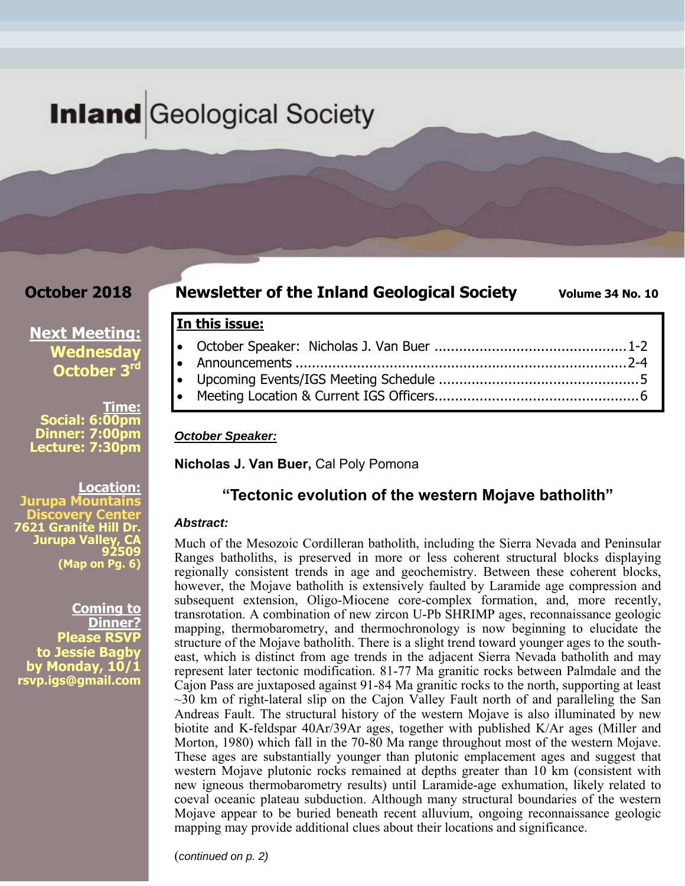# **Inland** Geological Society

**In this issue:** 

*October Speaker:* 

**Nicholas J. Van Buer,** Cal Poly Pomona

### **October 2018**

### **Newsletter of the Inland Geological Society** Volume 34 No. 10

# **Next Meeting: Wednesday October 3rd**

**Time: Social: 6:00pm Dinner: 7:00pm Lecture: 7:30pm** 

**Location: Jurupa Mountains Discovery Center 7621 Granite Hill Dr. Jurupa Valley, CA 92509 (Map on Pg. 6)**

**Coming to Dinner? Please RSVP to Jessie Bagby by Monday, 10/1 rsvp.igs@gmail.com** 

#### **"Tectonic evolution of the western Mojave batholith"**

 October Speaker: Nicholas J. Van Buer ............................................... 1-2 Announcements ................................................................................. 2-4 Upcoming Events/IGS Meeting Schedule ................................................. 5 Meeting Location & Current IGS Officers .................................................. 6

#### *Abstract:*

Much of the Mesozoic Cordilleran batholith, including the Sierra Nevada and Peninsular Ranges batholiths, is preserved in more or less coherent structural blocks displaying regionally consistent trends in age and geochemistry. Between these coherent blocks, however, the Mojave batholith is extensively faulted by Laramide age compression and subsequent extension, Oligo-Miocene core-complex formation, and, more recently, transrotation. A combination of new zircon U-Pb SHRIMP ages, reconnaissance geologic mapping, thermobarometry, and thermochronology is now beginning to elucidate the structure of the Mojave batholith. There is a slight trend toward younger ages to the southeast, which is distinct from age trends in the adjacent Sierra Nevada batholith and may represent later tectonic modification. 81-77 Ma granitic rocks between Palmdale and the Cajon Pass are juxtaposed against 91-84 Ma granitic rocks to the north, supporting at least  $\sim$ 30 km of right-lateral slip on the Cajon Valley Fault north of and paralleling the San Andreas Fault. The structural history of the western Mojave is also illuminated by new biotite and K-feldspar 40Ar/39Ar ages, together with published K/Ar ages (Miller and Morton, 1980) which fall in the 70-80 Ma range throughout most of the western Mojave. These ages are substantially younger than plutonic emplacement ages and suggest that western Mojave plutonic rocks remained at depths greater than 10 km (consistent with new igneous thermobarometry results) until Laramide-age exhumation, likely related to coeval oceanic plateau subduction. Although many structural boundaries of the western Mojave appear to be buried beneath recent alluvium, ongoing reconnaissance geologic mapping may provide additional clues about their locations and significance.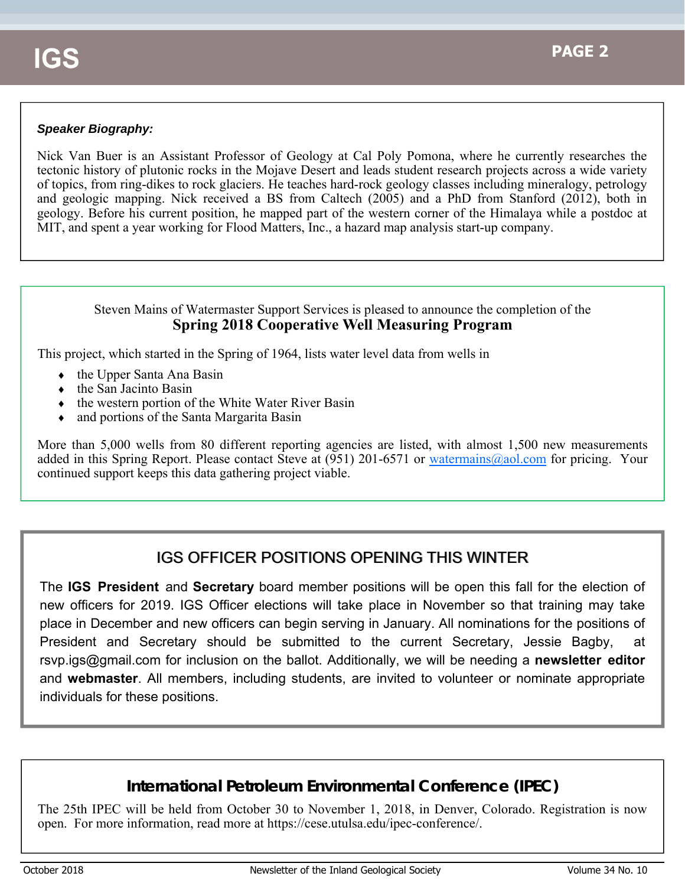#### *Speaker Biography:*

Nick Van Buer is an Assistant Professor of Geology at Cal Poly Pomona, where he currently researches the tectonic history of plutonic rocks in the Mojave Desert and leads student research projects across a wide variety of topics, from ring-dikes to rock glaciers. He teaches hard-rock geology classes including mineralogy, petrology and geologic mapping. Nick received a BS from Caltech (2005) and a PhD from Stanford (2012), both in geology. Before his current position, he mapped part of the western corner of the Himalaya while a postdoc at MIT, and spent a year working for Flood Matters, Inc., a hazard map analysis start-up company.

#### Steven Mains of Watermaster Support Services is pleased to announce the completion of the **Spring 2018 Cooperative Well Measuring Program**

This project, which started in the Spring of 1964, lists water level data from wells in

- $\bullet$  the Upper Santa Ana Basin
- $\bullet$  the San Jacinto Basin
- $\bullet$  the western portion of the White Water River Basin
- and portions of the Santa Margarita Basin

More than 5,000 wells from 80 different reporting agencies are listed, with almost 1,500 new measurements added in this Spring Report. Please contact Steve at (951) 201-6571 or watermains@aol.com for pricing. Your continued support keeps this data gathering project viable.

# IGS OFFICER POSITIONS OPENING THIS WINTER

The **IGS President** and **Secretary** board member positions will be open this fall for the election of new officers for 2019. IGS Officer elections will take place in November so that training may take place in December and new officers can begin serving in January. All nominations for the positions of President and Secretary should be submitted to the current Secretary, Jessie Bagby, at rsvp.igs@gmail.com for inclusion on the ballot. Additionally, we will be needing a **newsletter editor**  and **webmaster**. All members, including students, are invited to volunteer or nominate appropriate individuals for these positions.

# **International Petroleum Environmental Conference (IPEC)**

The 25th IPEC will be held from October 30 to November 1, 2018, in Denver, Colorado. Registration is now open. For more information, read more at https://cese.utulsa.edu/ipec-conference/.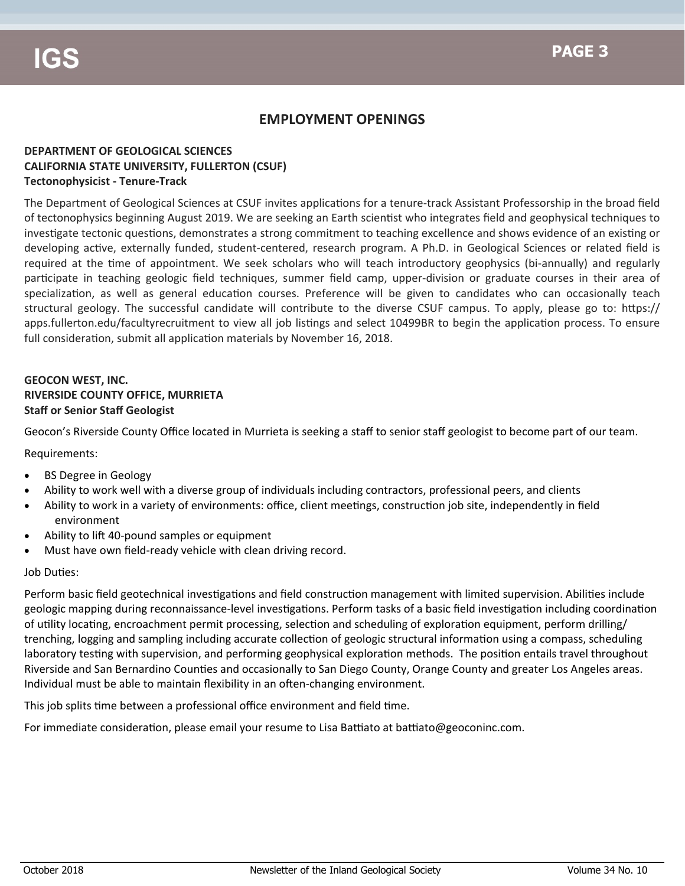### **EMPLOYMENT OPENINGS**

#### **DEPARTMENT OF GEOLOGICAL SCIENCES CALIFORNIA STATE UNIVERSITY, FULLERTON (CSUF) Tectonophysicist ‐ Tenure‐Track**

The Department of Geological Sciences at CSUF invites applications for a tenure-track Assistant Professorship in the broad field of tectonophysics beginning August 2019. We are seeking an Earth scientist who integrates field and geophysical techniques to investigate tectonic questions, demonstrates a strong commitment to teaching excellence and shows evidence of an existing or developing active, externally funded, student-centered, research program. A Ph.D. in Geological Sciences or related field is required at the time of appointment. We seek scholars who will teach introductory geophysics (bi-annually) and regularly participate in teaching geologic field techniques, summer field camp, upper-division or graduate courses in their area of specialization, as well as general education courses. Preference will be given to candidates who can occasionally teach structural geology. The successful candidate will contribute to the diverse CSUF campus. To apply, please go to: https:// apps.fullerton.edu/facultyrecruitment to view all job listings and select 10499BR to begin the application process. To ensure full consideration, submit all application materials by November 16, 2018.

#### **GEOCON WEST, INC. RIVERSIDE COUNTY OFFICE, MURRIETA Staff or Senior Staff Geologist**

Geocon's Riverside County Office located in Murrieta is seeking a staff to senior staff geologist to become part of our team.

Requirements:

- BS Degree in Geology
- Ability to work well with a diverse group of individuals including contractors, professional peers, and clients
- Ability to work in a variety of environments: office, client meetings, construction job site, independently in field environment
- Ability to lift 40-pound samples or equipment
- Must have own field‐ready vehicle with clean driving record.

#### Job Duties:

Perform basic field geotechnical investigations and field construction management with limited supervision. Abilities include geologic mapping during reconnaissance-level investigations. Perform tasks of a basic field investigation including coordination of utility locating, encroachment permit processing, selection and scheduling of exploration equipment, perform drilling/ trenching, logging and sampling including accurate collection of geologic structural information using a compass, scheduling laboratory testing with supervision, and performing geophysical exploration methods. The position entails travel throughout Riverside and San Bernardino Counties and occasionally to San Diego County, Orange County and greater Los Angeles areas. Individual must be able to maintain flexibility in an often-changing environment.

This job splits time between a professional office environment and field time.

For immediate consideration, please email your resume to Lisa Battiato at battiato@geoconinc.com.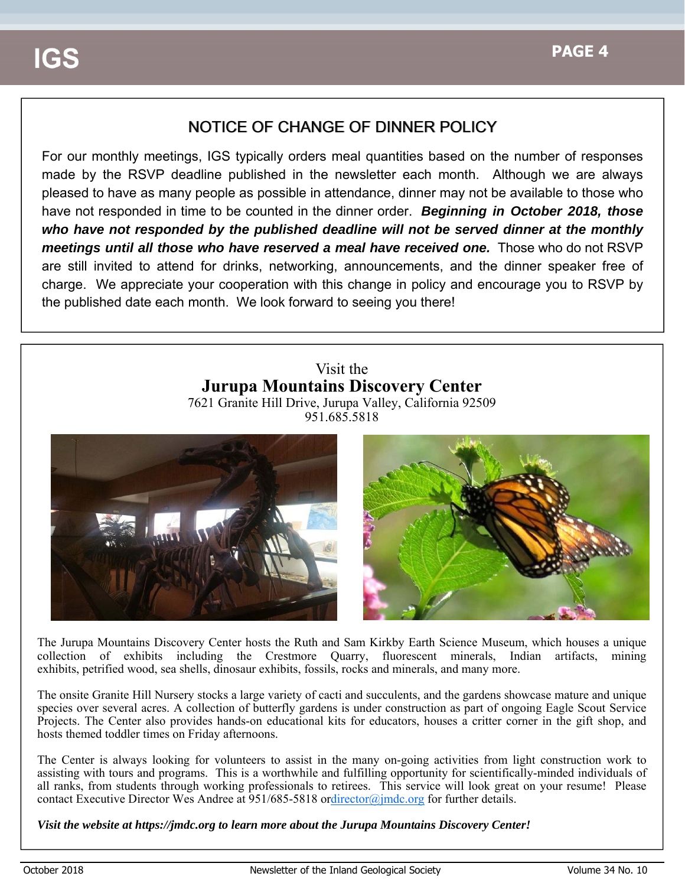# NOTICE OF CHANGE OF DINNER POLICY

For our monthly meetings, IGS typically orders meal quantities based on the number of responses made by the RSVP deadline published in the newsletter each month. Although we are always pleased to have as many people as possible in attendance, dinner may not be available to those who have not responded in time to be counted in the dinner order. *Beginning in October 2018, those who have not responded by the published deadline will not be served dinner at the monthly meetings until all those who have reserved a meal have received one.* Those who do not RSVP are still invited to attend for drinks, networking, announcements, and the dinner speaker free of charge. We appreciate your cooperation with this change in policy and encourage you to RSVP by the published date each month. We look forward to seeing you there!

### Visit the **Jurupa Mountains Discovery Center** 7621 Granite Hill Drive, Jurupa Valley, California 92509

951.685.5818



The Jurupa Mountains Discovery Center hosts the Ruth and Sam Kirkby Earth Science Museum, which houses a unique collection of exhibits including the Crestmore Quarry, fluorescent minerals, Indian artifacts, mining exhibits, petrified wood, sea shells, dinosaur exhibits, fossils, rocks and minerals, and many more.

The onsite Granite Hill Nursery stocks a large variety of cacti and succulents, and the gardens showcase mature and unique species over several acres. A collection of butterfly gardens is under construction as part of ongoing Eagle Scout Service Projects. The Center also provides hands-on educational kits for educators, houses a critter corner in the gift shop, and hosts themed toddler times on Friday afternoons.

The Center is always looking for volunteers to assist in the many on-going activities from light construction work to assisting with tours and programs. This is a worthwhile and fulfilling opportunity for scientifically-minded individuals of all ranks, from students through working professionals to retirees. This service will look great on your resume! Please contact Executive Director Wes Andree at 951/685-5818 ordirector@jmdc.org for further details.

*Visit the website at https://jmdc.org to learn more about the Jurupa Mountains Discovery Center!*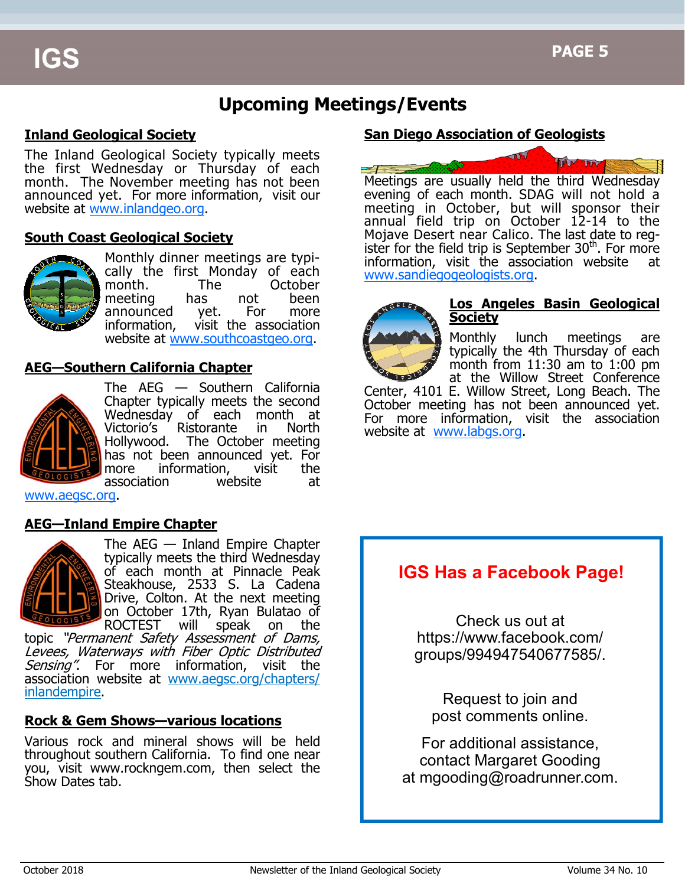# **Upcoming Meetings/Events**

### **Inland Geological Society**

The Inland Geological Society typically meets the first Wednesday or Thursday of each month. The November meeting has not been announced yet. For more information, visit our website at www.inlandgeo.org.

#### **South Coast Geological Society**



Monthly dinner meetings are typically the first Monday of each month. The October meeting has not been announced yet. For more information, visit the association website at www.southcoastgeo.org.

#### **AEG—Southern California Chapter**



The AEG — Southern California Chapter typically meets the second Wednesday of each month at Victorio's Ristorante in North Hollywood. The October meeting has not been announced yet. For more information, visit the association website at

www.aegsc.org.

#### **AEG—Inland Empire Chapter**



The AEG — Inland Empire Chapter typically meets the third Wednesday of each month at Pinnacle Peak Steakhouse, 2533 S. La Cadena Drive, Colton. At the next meeting on October 17th, Ryan Bulatao of<br>ROCTEST will speak on the will speak on the

topic "Permanent Safety Assessment of Dams, Levees, Waterways with Fiber Optic Distributed Sensing". For more information, visit the association website at www.aegsc.org/chapters/ inlandempire.

#### **Rock & Gem Shows—various locations**

Various rock and mineral shows will be held throughout southern California. To find one near you, visit www.rockngem.com, then select the Show Dates tab.

#### **San Diego Association of Geologists**



Meetings are usually held the third Wednesday evening of each month. SDAG will not hold a meeting in October, but will sponsor their annual field trip on October 12-14 to the Mojave Desert near Calico. The last date to register for the field trip is September  $30<sup>th</sup>$ . For more information, visit the association website www.sandiegogeologists.org.



#### **Los Angeles Basin Geological Society**

Monthly lunch meetings are typically the 4th Thursday of each month from  $11:30$  am to  $1:00$  pm at the Willow Street Conference Center, 4101 E. Willow Street, Long Beach. The October meeting has not been announced yet. For more information, visit the association website at www.labgs.org.

# **IGS Has a Facebook Page!**

Check us out at https://www.facebook.com/ groups/994947540677585/.

Request to join and post comments online.

For additional assistance, contact Margaret Gooding at mgooding@roadrunner.com.